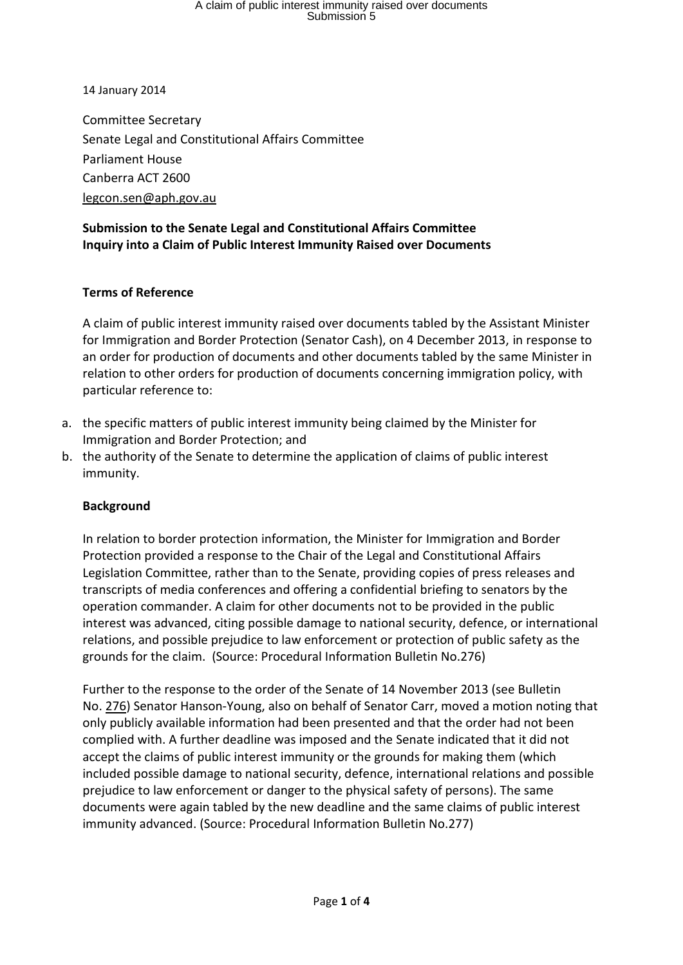# A claim of public interest immunity raised over documents Submission 5

14 January 2014

Committee Secretary Senate Legal and Constitutional Affairs Committee Parliament House Canberra ACT 2600 [legcon.sen@aph.gov.au](mailto:legcon.sen@aph.gov.au)

#### **Submission to the Senate Legal and Constitutional Affairs Committee Inquiry into a Claim of Public Interest Immunity Raised over Documents**

#### **Terms of Reference**

A claim of public interest immunity raised over documents tabled by the Assistant Minister for Immigration and Border Protection (Senator Cash), on 4 December 2013, in response to an order for production of documents and other documents tabled by the same Minister in relation to other orders for production of documents concerning immigration policy, with particular reference to:

- a. the specific matters of public interest immunity being claimed by the Minister for Immigration and Border Protection; and
- b. the authority of the Senate to determine the application of claims of public interest immunity.

#### **Background**

In relation to border protection information, the Minister for Immigration and Border Protection provided a response to the Chair of the Legal and Constitutional Affairs Legislation Committee, rather than to the Senate, providing copies of press releases and transcripts of media conferences and offering a confidential briefing to senators by the operation commander. A claim for other documents not to be provided in the public interest was advanced, citing possible damage to national security, defence, or international relations, and possible prejudice to law enforcement or protection of public safety as the grounds for the claim. (Source: Procedural Information Bulletin No.276)

Further to the response to the order of the Senate of 14 November 2013 (see Bulletin No. [276\)](http://www.aph.gov.au/About_Parliament/Senate/Powers_practice_n_procedures/Procedural_Information_Bulletins/bulletin276) Senator Hanson-Young, also on behalf of Senator Carr, moved a motion noting that only publicly available information had been presented and that the order had not been complied with. A further deadline was imposed and the Senate indicated that it did not accept the claims of public interest immunity or the grounds for making them (which included possible damage to national security, defence, international relations and possible prejudice to law enforcement or danger to the physical safety of persons). The same documents were again tabled by the new deadline and the same claims of public interest immunity advanced. (Source: Procedural Information Bulletin No.277)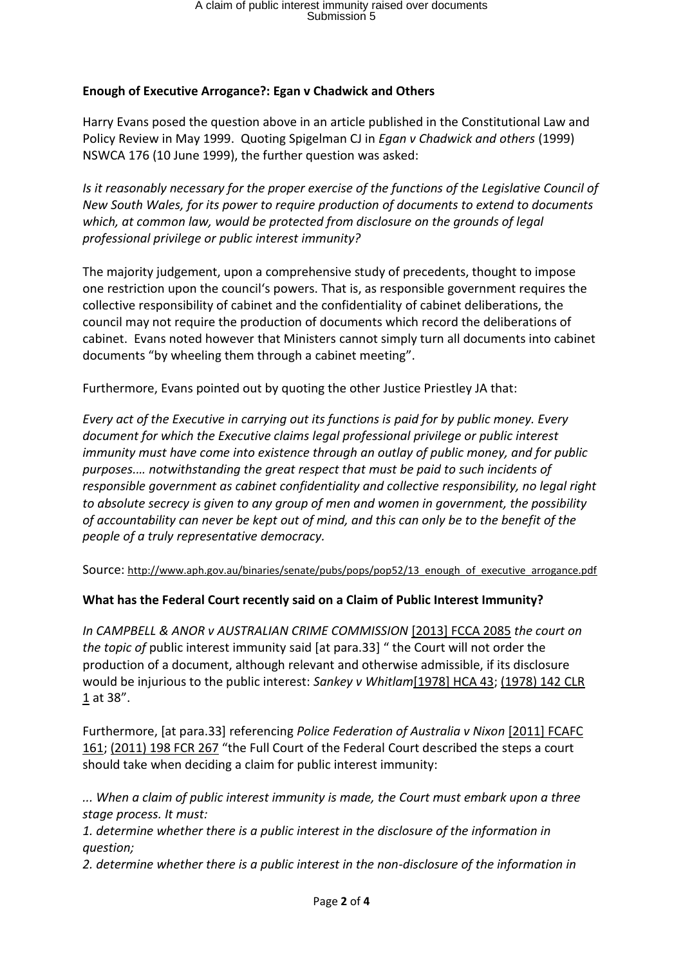### **Enough of Executive Arrogance?: Egan v Chadwick and Others**

Harry Evans posed the question above in an article published in the Constitutional Law and Policy Review in May 1999. Quoting Spigelman CJ in *Egan v Chadwick and others* (1999) NSWCA 176 (10 June 1999), the further question was asked:

*Is it reasonably necessary for the proper exercise of the functions of the Legislative Council of New South Wales, for its power to require production of documents to extend to documents which, at common law, would be protected from disclosure on the grounds of legal professional privilege or public interest immunity?*

The majority judgement, upon a comprehensive study of precedents, thought to impose one restriction upon the council's powers. That is, as responsible government requires the collective responsibility of cabinet and the confidentiality of cabinet deliberations, the council may not require the production of documents which record the deliberations of cabinet. Evans noted however that Ministers cannot simply turn all documents into cabinet documents "by wheeling them through a cabinet meeting".

Furthermore, Evans pointed out by quoting the other Justice Priestley JA that:

*Every act of the Executive in carrying out its functions is paid for by public money. Every document for which the Executive claims legal professional privilege or public interest immunity must have come into existence through an outlay of public money, and for public purposes.… notwithstanding the great respect that must be paid to such incidents of responsible government as cabinet confidentiality and collective responsibility, no legal right to absolute secrecy is given to any group of men and women in government, the possibility of accountability can never be kept out of mind, and this can only be to the benefit of the people of a truly representative democracy.*

Source: [http://www.aph.gov.au/binaries/senate/pubs/pops/pop52/13\\_enough\\_of\\_executive\\_arrogance.pdf](http://www.aph.gov.au/binaries/senate/pubs/pops/pop52/13_enough_of_executive_arrogance.pdf)

### **What has the Federal Court recently said on a Claim of Public Interest Immunity?**

*In CAMPBELL & ANOR v AUSTRALIAN CRIME COMMISSION* [\[2013\] FCCA 2085](http://www.austlii.edu.au/au/cases/cth/FCCA/2013/2085.html) *the court on the topic of* public interest immunity said [at para.33] " the Court will not order the production of a document, although relevant and otherwise admissible, if its disclosure would be injurious to the public interest: *Sankey v Whitlam*[\[1978\] HCA 43;](http://www.austlii.edu.au/au/cases/cth/HCA/1978/43.html) [\(1978\) 142 CLR](http://www.austlii.edu.au/cgi-bin/LawCite?cit=%281978%29%20142%20CLR%201)  [1](http://www.austlii.edu.au/cgi-bin/LawCite?cit=%281978%29%20142%20CLR%201) at 38".

Furthermore, [at para.33] referencing *Police Federation of Australia v Nixon* [\[2011\] FCAFC](http://www.austlii.edu.au/au/cases/cth/FCAFC/2011/161.html)  [161;](http://www.austlii.edu.au/au/cases/cth/FCAFC/2011/161.html) [\(2011\) 198 FCR 267](http://www.austlii.edu.au/cgi-bin/LawCite?cit=%282011%29%20198%20FCR%20267) "the Full Court of the Federal Court described the steps a court should take when deciding a claim for public interest immunity:

*... When a claim of public interest immunity is made, the Court must embark upon a three stage process. It must:*

*1. determine whether there is a public interest in the disclosure of the information in question;*

*2. determine whether there is a public interest in the non-disclosure of the information in*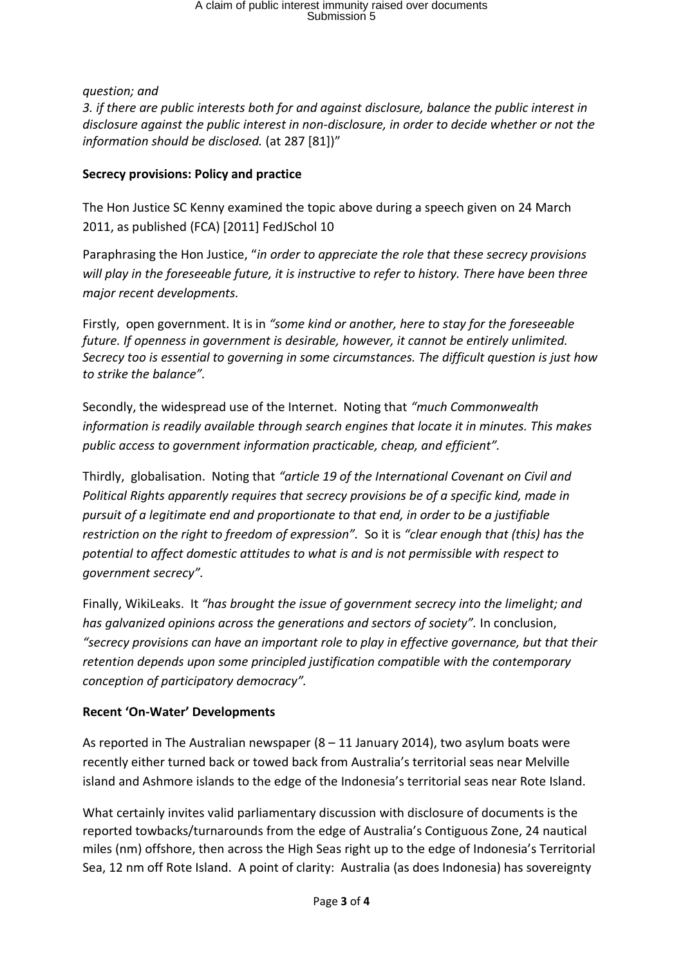# A claim of public interest immunity raised over documents Submission 5

*question; and*

*3. if there are public interests both for and against disclosure, balance the public interest in disclosure against the public interest in non-disclosure, in order to decide whether or not the information should be disclosed.* (at 287 [81])"

### **Secrecy provisions: Policy and practice**

The Hon Justice SC Kenny examined the topic above during a speech given on 24 March 2011, as published (FCA) [2011] FedJSchol 10

Paraphrasing the Hon Justice, "*in order to appreciate the role that these secrecy provisions will play in the foreseeable future, it is instructive to refer to history. There have been three major recent developments.*

Firstly, open government. It is in *"some kind or another, here to stay for the foreseeable future. If openness in government is desirable, however, it cannot be entirely unlimited. Secrecy too is essential to governing in some circumstances. The difficult question is just how to strike the balance".*

Secondly, the widespread use of the Internet. Noting that *"much Commonwealth information is readily available through search engines that locate it in minutes. This makes public access to government information practicable, cheap, and efficient".*

Thirdly, globalisation. Noting that *"article 19 of the International Covenant on Civil and Political Rights apparently requires that secrecy provisions be of a specific kind, made in pursuit of a legitimate end and proportionate to that end, in order to be a justifiable restriction on the right to freedom of expression".* So it is *"clear enough that (this) has the potential to affect domestic attitudes to what is and is not permissible with respect to government secrecy".*

Finally, WikiLeaks. It *"has brought the issue of government secrecy into the limelight; and has galvanized opinions across the generations and sectors of society".* In conclusion, *"secrecy provisions can have an important role to play in effective governance, but that their retention depends upon some principled justification compatible with the contemporary conception of participatory democracy".*

### **Recent 'On-Water' Developments**

As reported in The Australian newspaper (8 – 11 January 2014), two asylum boats were recently either turned back or towed back from Australia's territorial seas near Melville island and Ashmore islands to the edge of the Indonesia's territorial seas near Rote Island.

What certainly invites valid parliamentary discussion with disclosure of documents is the reported towbacks/turnarounds from the edge of Australia's Contiguous Zone, 24 nautical miles (nm) offshore, then across the High Seas right up to the edge of Indonesia's Territorial Sea, 12 nm off Rote Island. A point of clarity: Australia (as does Indonesia) has sovereignty